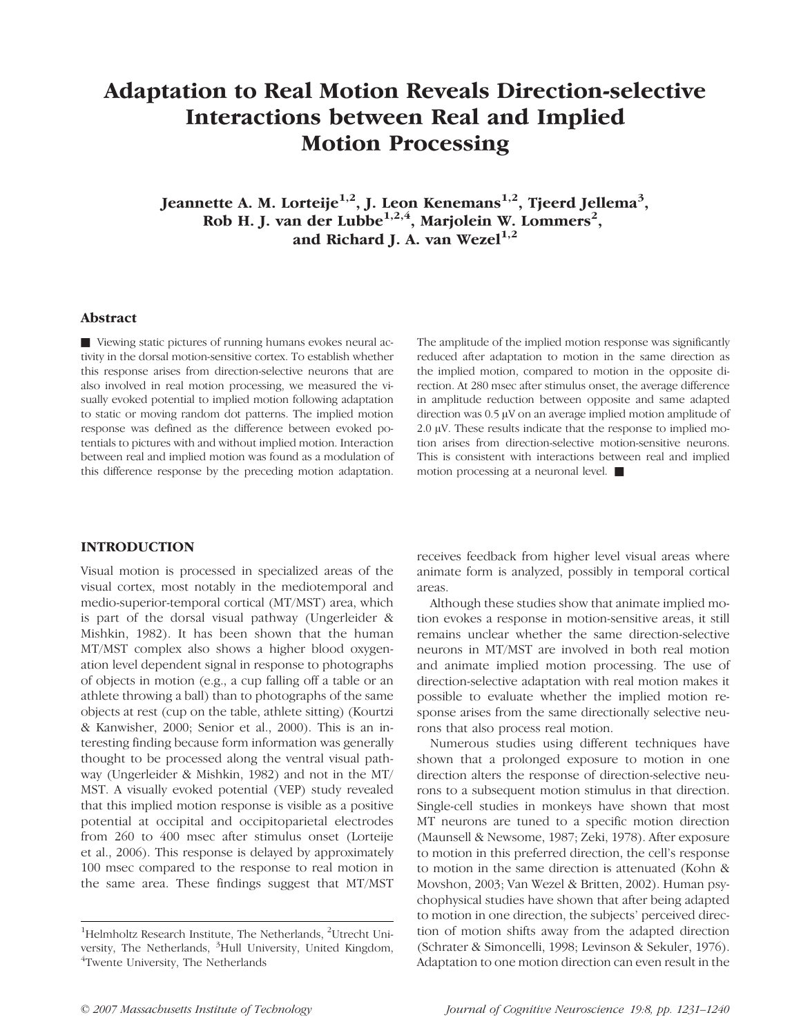# Adaptation to Real Motion Reveals Direction-selective Interactions between Real and Implied Motion Processing

Jeannette A. M. Lorteije $^{1,2}$ , J. Leon Kenemans $^{1,2}$ , Tjeerd Jellema $^3,$ Rob H. J. van der Lubbe<sup>1,2,4</sup>, Marjolein W. Lommers<sup>2</sup>, and Richard J. A. van Wezel $^{1,2}$ 

# Abstract

■ Viewing static pictures of running humans evokes neural activity in the dorsal motion-sensitive cortex. To establish whether this response arises from direction-selective neurons that are also involved in real motion processing, we measured the visually evoked potential to implied motion following adaptation to static or moving random dot patterns. The implied motion response was defined as the difference between evoked potentials to pictures with and without implied motion. Interaction between real and implied motion was found as a modulation of this difference response by the preceding motion adaptation.

The amplitude of the implied motion response was significantly reduced after adaptation to motion in the same direction as the implied motion, compared to motion in the opposite direction. At 280 msec after stimulus onset, the average difference in amplitude reduction between opposite and same adapted direction was  $0.5 \mu$ V on an average implied motion amplitude of  $2.0 \mu V$ . These results indicate that the response to implied motion arises from direction-selective motion-sensitive neurons. This is consistent with interactions between real and implied motion processing at a neuronal level.  $\blacksquare$ 

# INTRODUCTION

Visual motion is processed in specialized areas of the visual cortex, most notably in the mediotemporal and medio-superior-temporal cortical (MT/MST) area, which is part of the dorsal visual pathway (Ungerleider & Mishkin, 1982). It has been shown that the human MT/MST complex also shows a higher blood oxygenation level dependent signal in response to photographs of objects in motion (e.g., a cup falling off a table or an athlete throwing a ball) than to photographs of the same objects at rest (cup on the table, athlete sitting) (Kourtzi & Kanwisher, 2000; Senior et al., 2000). This is an interesting finding because form information was generally thought to be processed along the ventral visual pathway (Ungerleider & Mishkin, 1982) and not in the MT/ MST. A visually evoked potential (VEP) study revealed that this implied motion response is visible as a positive potential at occipital and occipitoparietal electrodes from 260 to 400 msec after stimulus onset (Lorteije et al., 2006). This response is delayed by approximately 100 msec compared to the response to real motion in the same area. These findings suggest that MT/MST receives feedback from higher level visual areas where animate form is analyzed, possibly in temporal cortical areas.

Although these studies show that animate implied motion evokes a response in motion-sensitive areas, it still remains unclear whether the same direction-selective neurons in MT/MST are involved in both real motion and animate implied motion processing. The use of direction-selective adaptation with real motion makes it possible to evaluate whether the implied motion response arises from the same directionally selective neurons that also process real motion.

Numerous studies using different techniques have shown that a prolonged exposure to motion in one direction alters the response of direction-selective neurons to a subsequent motion stimulus in that direction. Single-cell studies in monkeys have shown that most MT neurons are tuned to a specific motion direction (Maunsell & Newsome, 1987; Zeki, 1978). After exposure to motion in this preferred direction, the cell's response to motion in the same direction is attenuated (Kohn & Movshon, 2003; Van Wezel & Britten, 2002). Human psychophysical studies have shown that after being adapted to motion in one direction, the subjects' perceived direction of motion shifts away from the adapted direction (Schrater & Simoncelli, 1998; Levinson & Sekuler, 1976). Adaptation to one motion direction can even result in the

<sup>&</sup>lt;sup>1</sup>Helmholtz Research Institute, The Netherlands, <sup>2</sup>Utrecht University, The Netherlands, <sup>3</sup>Hull University, United Kingdom, <sup>4</sup>Twente University, The Netherlands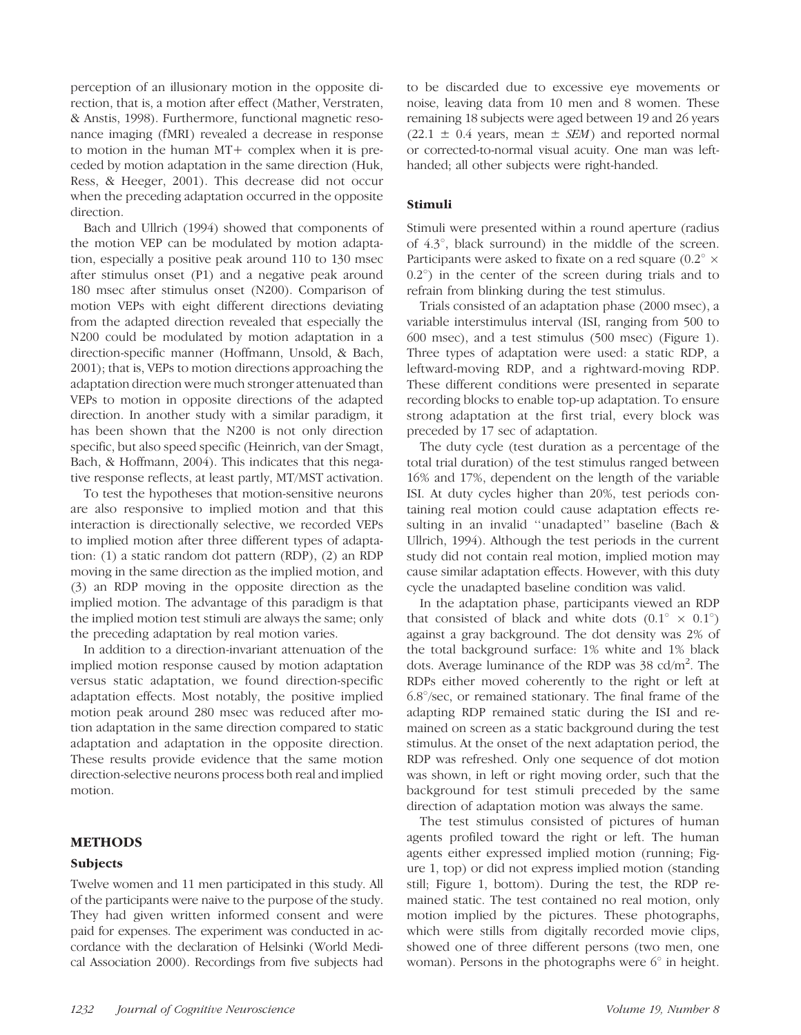perception of an illusionary motion in the opposite direction, that is, a motion after effect (Mather, Verstraten, & Anstis, 1998). Furthermore, functional magnetic resonance imaging (fMRI) revealed a decrease in response to motion in the human MT+ complex when it is preceded by motion adaptation in the same direction (Huk, Ress, & Heeger, 2001). This decrease did not occur when the preceding adaptation occurred in the opposite direction.

Bach and Ullrich (1994) showed that components of the motion VEP can be modulated by motion adaptation, especially a positive peak around 110 to 130 msec after stimulus onset (P1) and a negative peak around 180 msec after stimulus onset (N200). Comparison of motion VEPs with eight different directions deviating from the adapted direction revealed that especially the N200 could be modulated by motion adaptation in a direction-specific manner (Hoffmann, Unsold, & Bach, 2001); that is, VEPs to motion directions approaching the adaptation direction were much stronger attenuated than VEPs to motion in opposite directions of the adapted direction. In another study with a similar paradigm, it has been shown that the N200 is not only direction specific, but also speed specific (Heinrich, van der Smagt, Bach, & Hoffmann, 2004). This indicates that this negative response reflects, at least partly, MT/MST activation.

To test the hypotheses that motion-sensitive neurons are also responsive to implied motion and that this interaction is directionally selective, we recorded VEPs to implied motion after three different types of adaptation: (1) a static random dot pattern (RDP), (2) an RDP moving in the same direction as the implied motion, and (3) an RDP moving in the opposite direction as the implied motion. The advantage of this paradigm is that the implied motion test stimuli are always the same; only the preceding adaptation by real motion varies.

In addition to a direction-invariant attenuation of the implied motion response caused by motion adaptation versus static adaptation, we found direction-specific adaptation effects. Most notably, the positive implied motion peak around 280 msec was reduced after motion adaptation in the same direction compared to static adaptation and adaptation in the opposite direction. These results provide evidence that the same motion direction-selective neurons process both real and implied motion.

# METHODS

# Subjects

Twelve women and 11 men participated in this study. All of the participants were naive to the purpose of the study. They had given written informed consent and were paid for expenses. The experiment was conducted in accordance with the declaration of Helsinki (World Medical Association 2000). Recordings from five subjects had

to be discarded due to excessive eye movements or noise, leaving data from 10 men and 8 women. These remaining 18 subjects were aged between 19 and 26 years  $(22.1 \pm 0.4 \text{ years}, \text{mean} \pm \text{SEM})$  and reported normal or corrected-to-normal visual acuity. One man was lefthanded; all other subjects were right-handed.

# Stimuli

Stimuli were presented within a round aperture (radius of  $4.3^{\circ}$ , black surround) in the middle of the screen. Participants were asked to fixate on a red square (0.2 $\degree$   $\times$  $(0.2^{\circ})$  in the center of the screen during trials and to refrain from blinking during the test stimulus.

Trials consisted of an adaptation phase (2000 msec), a variable interstimulus interval (ISI, ranging from 500 to 600 msec), and a test stimulus (500 msec) (Figure 1). Three types of adaptation were used: a static RDP, a leftward-moving RDP, and a rightward-moving RDP. These different conditions were presented in separate recording blocks to enable top-up adaptation. To ensure strong adaptation at the first trial, every block was preceded by 17 sec of adaptation.

The duty cycle (test duration as a percentage of the total trial duration) of the test stimulus ranged between 16% and 17%, dependent on the length of the variable ISI. At duty cycles higher than 20%, test periods containing real motion could cause adaptation effects resulting in an invalid ''unadapted'' baseline (Bach & Ullrich, 1994). Although the test periods in the current study did not contain real motion, implied motion may cause similar adaptation effects. However, with this duty cycle the unadapted baseline condition was valid.

In the adaptation phase, participants viewed an RDP that consisted of black and white dots  $(0.1^{\circ} \times 0.1^{\circ})$ against a gray background. The dot density was 2% of the total background surface: 1% white and 1% black dots. Average luminance of the RDP was  $38 \text{ cd/m}^2$ . The RDPs either moved coherently to the right or left at  $6.8^{\circ}/sec$ , or remained stationary. The final frame of the adapting RDP remained static during the ISI and remained on screen as a static background during the test stimulus. At the onset of the next adaptation period, the RDP was refreshed. Only one sequence of dot motion was shown, in left or right moving order, such that the background for test stimuli preceded by the same direction of adaptation motion was always the same.

The test stimulus consisted of pictures of human agents profiled toward the right or left. The human agents either expressed implied motion (running; Figure 1, top) or did not express implied motion (standing still; Figure 1, bottom). During the test, the RDP remained static. The test contained no real motion, only motion implied by the pictures. These photographs, which were stills from digitally recorded movie clips, showed one of three different persons (two men, one woman). Persons in the photographs were  $6^\circ$  in height.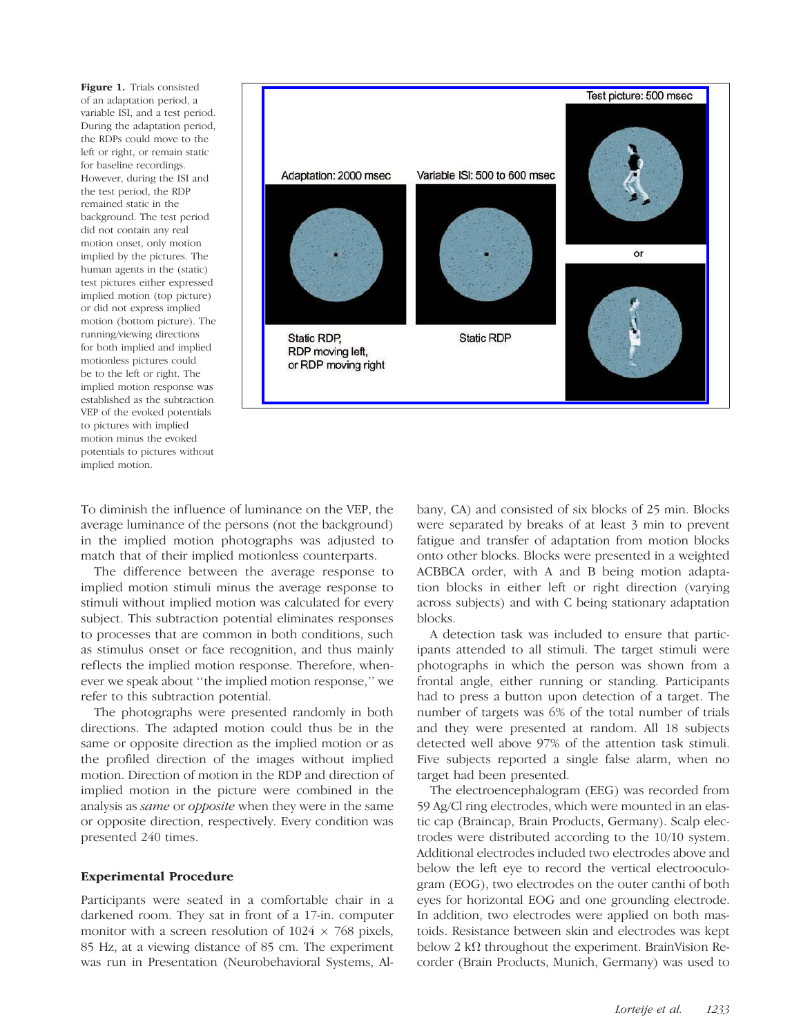Figure 1. Trials consisted of an adaptation period, a variable ISI, and a test period. During the adaptation period, the RDPs could move to the left or right, or remain static for baseline recordings. However, during the ISI and the test period, the RDP remained static in the background. The test period did not contain any real motion onset, only motion implied by the pictures. The human agents in the (static) test pictures either expressed implied motion (top picture) or did not express implied motion (bottom picture). The running/viewing directions for both implied and implied motionless pictures could be to the left or right. The implied motion response was established as the subtraction VEP of the evoked potentials to pictures with implied motion minus the evoked potentials to pictures without implied motion.



To diminish the influence of luminance on the VEP, the average luminance of the persons (not the background) in the implied motion photographs was adjusted to match that of their implied motionless counterparts.

The difference between the average response to implied motion stimuli minus the average response to stimuli without implied motion was calculated for every subject. This subtraction potential eliminates responses to processes that are common in both conditions, such as stimulus onset or face recognition, and thus mainly reflects the implied motion response. Therefore, whenever we speak about ''the implied motion response,'' we refer to this subtraction potential.

The photographs were presented randomly in both directions. The adapted motion could thus be in the same or opposite direction as the implied motion or as the profiled direction of the images without implied motion. Direction of motion in the RDP and direction of implied motion in the picture were combined in the analysis as same or opposite when they were in the same or opposite direction, respectively. Every condition was presented 240 times.

#### Experimental Procedure

Participants were seated in a comfortable chair in a darkened room. They sat in front of a 17-in. computer monitor with a screen resolution of  $1024 \times 768$  pixels, 85 Hz, at a viewing distance of 85 cm. The experiment was run in Presentation (Neurobehavioral Systems, Albany, CA) and consisted of six blocks of 25 min. Blocks were separated by breaks of at least 3 min to prevent fatigue and transfer of adaptation from motion blocks onto other blocks. Blocks were presented in a weighted ACBBCA order, with A and B being motion adaptation blocks in either left or right direction (varying across subjects) and with C being stationary adaptation blocks.

A detection task was included to ensure that participants attended to all stimuli. The target stimuli were photographs in which the person was shown from a frontal angle, either running or standing. Participants had to press a button upon detection of a target. The number of targets was 6% of the total number of trials and they were presented at random. All 18 subjects detected well above 97% of the attention task stimuli. Five subjects reported a single false alarm, when no target had been presented.

The electroencephalogram (EEG) was recorded from 59 Ag/Cl ring electrodes, which were mounted in an elastic cap (Braincap, Brain Products, Germany). Scalp electrodes were distributed according to the 10/10 system. Additional electrodes included two electrodes above and below the left eye to record the vertical electrooculogram (EOG), two electrodes on the outer canthi of both eyes for horizontal EOG and one grounding electrode. In addition, two electrodes were applied on both mastoids. Resistance between skin and electrodes was kept below 2 k $\Omega$  throughout the experiment. BrainVision Recorder (Brain Products, Munich, Germany) was used to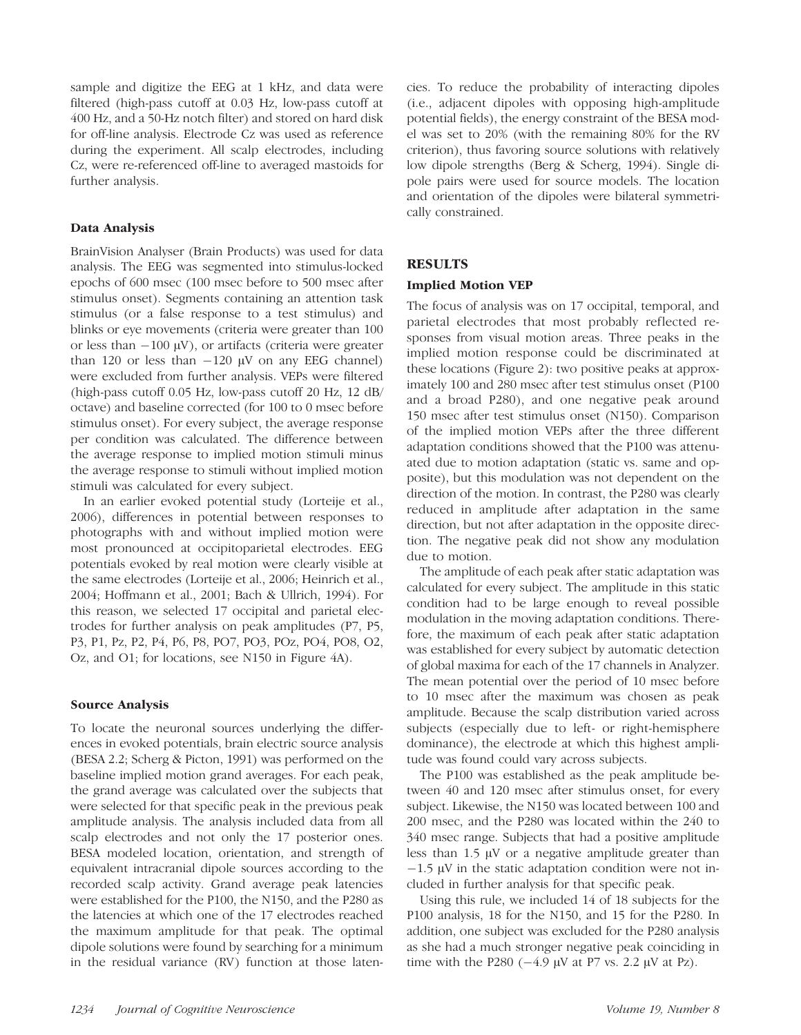sample and digitize the EEG at 1 kHz, and data were filtered (high-pass cutoff at 0.03 Hz, low-pass cutoff at 400 Hz, and a 50-Hz notch filter) and stored on hard disk for off-line analysis. Electrode Cz was used as reference during the experiment. All scalp electrodes, including Cz, were re-referenced off-line to averaged mastoids for further analysis.

# Data Analysis

BrainVision Analyser (Brain Products) was used for data analysis. The EEG was segmented into stimulus-locked epochs of 600 msec (100 msec before to 500 msec after stimulus onset). Segments containing an attention task stimulus (or a false response to a test stimulus) and blinks or eye movements (criteria were greater than 100 or less than  $-100 \mu V$ ), or artifacts (criteria were greater than 120 or less than  $-120 \mu V$  on any EEG channel) were excluded from further analysis. VEPs were filtered (high-pass cutoff 0.05 Hz, low-pass cutoff 20 Hz, 12 dB/ octave) and baseline corrected (for 100 to 0 msec before stimulus onset). For every subject, the average response per condition was calculated. The difference between the average response to implied motion stimuli minus the average response to stimuli without implied motion stimuli was calculated for every subject.

In an earlier evoked potential study (Lorteije et al., 2006), differences in potential between responses to photographs with and without implied motion were most pronounced at occipitoparietal electrodes. EEG potentials evoked by real motion were clearly visible at the same electrodes (Lorteije et al., 2006; Heinrich et al., 2004; Hoffmann et al., 2001; Bach & Ullrich, 1994). For this reason, we selected 17 occipital and parietal electrodes for further analysis on peak amplitudes (P7, P5, P3, P1, Pz, P2, P4, P6, P8, PO7, PO3, POz, PO4, PO8, O2, Oz, and O1; for locations, see N150 in Figure 4A).

#### Source Analysis

To locate the neuronal sources underlying the differences in evoked potentials, brain electric source analysis (BESA 2.2; Scherg & Picton, 1991) was performed on the baseline implied motion grand averages. For each peak, the grand average was calculated over the subjects that were selected for that specific peak in the previous peak amplitude analysis. The analysis included data from all scalp electrodes and not only the 17 posterior ones. BESA modeled location, orientation, and strength of equivalent intracranial dipole sources according to the recorded scalp activity. Grand average peak latencies were established for the P100, the N150, and the P280 as the latencies at which one of the 17 electrodes reached the maximum amplitude for that peak. The optimal dipole solutions were found by searching for a minimum in the residual variance (RV) function at those laten-

cies. To reduce the probability of interacting dipoles (i.e., adjacent dipoles with opposing high-amplitude potential fields), the energy constraint of the BESA model was set to 20% (with the remaining 80% for the RV criterion), thus favoring source solutions with relatively low dipole strengths (Berg & Scherg, 1994). Single dipole pairs were used for source models. The location and orientation of the dipoles were bilateral symmetrically constrained.

# RESULTS

#### Implied Motion VEP

The focus of analysis was on 17 occipital, temporal, and parietal electrodes that most probably reflected responses from visual motion areas. Three peaks in the implied motion response could be discriminated at these locations (Figure 2): two positive peaks at approximately 100 and 280 msec after test stimulus onset (P100 and a broad P280), and one negative peak around 150 msec after test stimulus onset (N150). Comparison of the implied motion VEPs after the three different adaptation conditions showed that the P100 was attenuated due to motion adaptation (static vs. same and opposite), but this modulation was not dependent on the direction of the motion. In contrast, the P280 was clearly reduced in amplitude after adaptation in the same direction, but not after adaptation in the opposite direction. The negative peak did not show any modulation due to motion.

The amplitude of each peak after static adaptation was calculated for every subject. The amplitude in this static condition had to be large enough to reveal possible modulation in the moving adaptation conditions. Therefore, the maximum of each peak after static adaptation was established for every subject by automatic detection of global maxima for each of the 17 channels in Analyzer. The mean potential over the period of 10 msec before to 10 msec after the maximum was chosen as peak amplitude. Because the scalp distribution varied across subjects (especially due to left- or right-hemisphere dominance), the electrode at which this highest amplitude was found could vary across subjects.

The P100 was established as the peak amplitude between 40 and 120 msec after stimulus onset, for every subject. Likewise, the N150 was located between 100 and 200 msec, and the P280 was located within the 240 to 340 msec range. Subjects that had a positive amplitude less than 1.5  $\mu$ V or a negative amplitude greater than  $-1.5 \mu V$  in the static adaptation condition were not included in further analysis for that specific peak.

Using this rule, we included 14 of 18 subjects for the P100 analysis, 18 for the N150, and 15 for the P280. In addition, one subject was excluded for the P280 analysis as she had a much stronger negative peak coinciding in time with the P280  $(-4.9 \mu V \text{ at P7 vs. } 2.2 \mu V \text{ at P2}).$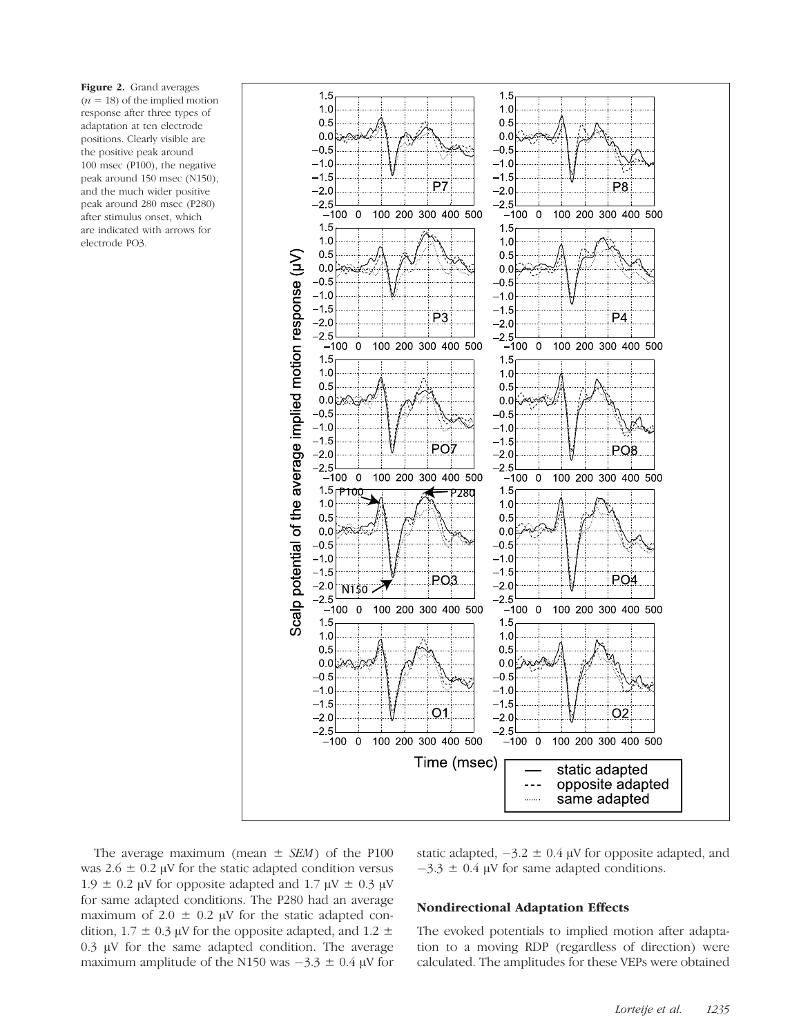Figure 2. Grand averages  $(n = 18)$  of the implied motion response after three types of adaptation at ten electrode positions. Clearly visible are the positive peak around 100 msec (P100), the negative peak around 150 msec (N150), and the much wider positive peak around 280 msec (P280) after stimulus onset, which are indicated with arrows for electrode PO3.



The average maximum (mean  $\pm$  *SEM*) of the P100 was  $2.6 \pm 0.2$  µV for the static adapted condition versus  $1.9 \pm 0.2 \mu$ V for opposite adapted and  $1.7 \mu$ V  $\pm 0.3 \mu$ V for same adapted conditions. The P280 had an average maximum of 2.0  $\pm$  0.2  $\mu$ V for the static adapted condition,  $1.7 \pm 0.3$   $\mu$ V for the opposite adapted, and  $1.2 \pm$  $0.3 \mu V$  for the same adapted condition. The average maximum amplitude of the N150 was  $-3.3 \pm 0.4$  µV for

static adapted,  $-3.2 \pm 0.4$  µV for opposite adapted, and  $-3.3 \pm 0.4$  µV for same adapted conditions.

#### Nondirectional Adaptation Effects

The evoked potentials to implied motion after adaptation to a moving RDP (regardless of direction) were calculated. The amplitudes for these VEPs were obtained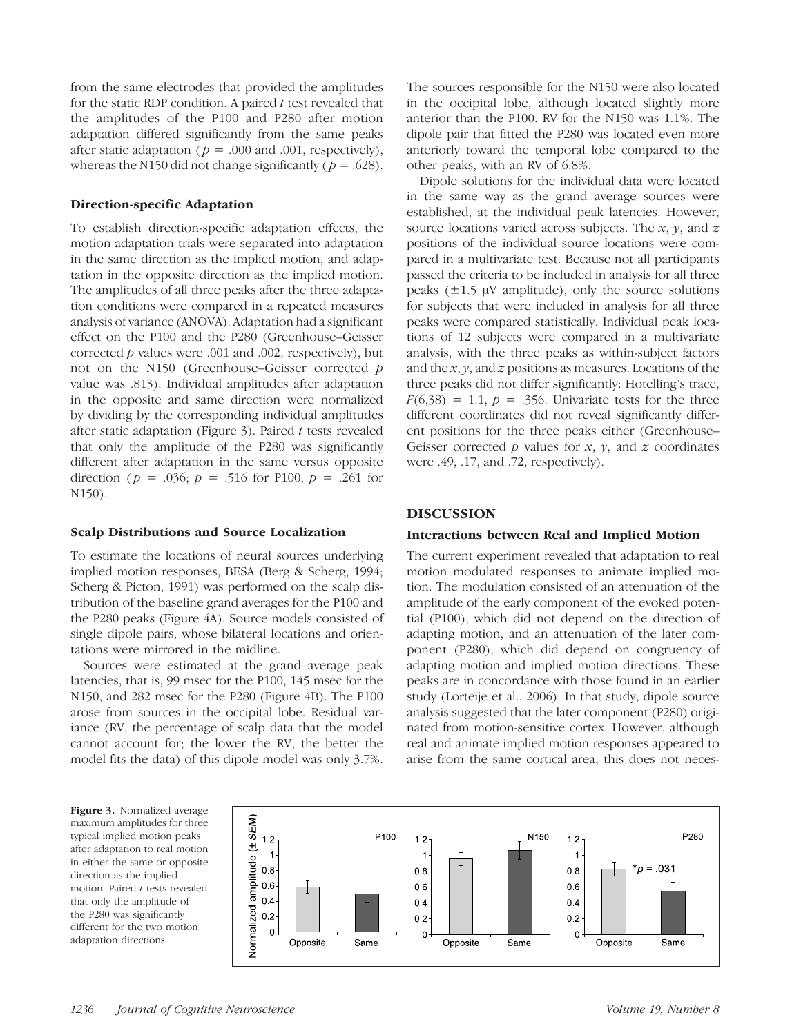from the same electrodes that provided the amplitudes for the static RDP condition. A paired  $t$  test revealed that the amplitudes of the P100 and P280 after motion adaptation differed significantly from the same peaks after static adaptation ( $p = .000$  and .001, respectively), whereas the N150 did not change significantly ( $p = .628$ ).

### Direction-specific Adaptation

To establish direction-specific adaptation effects, the motion adaptation trials were separated into adaptation in the same direction as the implied motion, and adaptation in the opposite direction as the implied motion. The amplitudes of all three peaks after the three adaptation conditions were compared in a repeated measures analysis of variance (ANOVA). Adaptation had a significant effect on the P100 and the P280 (Greenhouse–Geisser corrected  $p$  values were .001 and .002, respectively), but not on the N150 (Greenhouse–Geisser corrected p value was .813). Individual amplitudes after adaptation in the opposite and same direction were normalized by dividing by the corresponding individual amplitudes after static adaptation (Figure 3). Paired  $t$  tests revealed that only the amplitude of the P280 was significantly different after adaptation in the same versus opposite direction ( $p = .036$ ;  $p = .516$  for P100,  $p = .261$  for N150).

### Scalp Distributions and Source Localization

To estimate the locations of neural sources underlying implied motion responses, BESA (Berg & Scherg, 1994; Scherg & Picton, 1991) was performed on the scalp distribution of the baseline grand averages for the P100 and the P280 peaks (Figure 4A). Source models consisted of single dipole pairs, whose bilateral locations and orientations were mirrored in the midline.

Sources were estimated at the grand average peak latencies, that is, 99 msec for the P100, 145 msec for the N150, and 282 msec for the P280 (Figure 4B). The P100 arose from sources in the occipital lobe. Residual variance (RV, the percentage of scalp data that the model cannot account for; the lower the RV, the better the model fits the data) of this dipole model was only 3.7%.

The sources responsible for the N150 were also located in the occipital lobe, although located slightly more anterior than the P100. RV for the N150 was 1.1%. The dipole pair that fitted the P280 was located even more anteriorly toward the temporal lobe compared to the other peaks, with an RV of 6.8%.

Dipole solutions for the individual data were located in the same way as the grand average sources were established, at the individual peak latencies. However, source locations varied across subjects. The  $x$ ,  $y$ , and  $z$ positions of the individual source locations were compared in a multivariate test. Because not all participants passed the criteria to be included in analysis for all three peaks  $(\pm 1.5 \mu V \text{ amplitude})$ , only the source solutions for subjects that were included in analysis for all three peaks were compared statistically. Individual peak locations of 12 subjects were compared in a multivariate analysis, with the three peaks as within-subject factors and the  $x, y$ , and z positions as measures. Locations of the three peaks did not differ significantly: Hotelling's trace,  $F(6,38) = 1.1, p = .356$ . Univariate tests for the three different coordinates did not reveal significantly different positions for the three peaks either (Greenhouse– Geisser corrected  $p$  values for  $x$ ,  $y$ , and  $z$  coordinates were .49, .17, and .72, respectively).

# DISCUSSION

#### Interactions between Real and Implied Motion

The current experiment revealed that adaptation to real motion modulated responses to animate implied motion. The modulation consisted of an attenuation of the amplitude of the early component of the evoked potential (P100), which did not depend on the direction of adapting motion, and an attenuation of the later component (P280), which did depend on congruency of adapting motion and implied motion directions. These peaks are in concordance with those found in an earlier study (Lorteije et al., 2006). In that study, dipole source analysis suggested that the later component (P280) originated from motion-sensitive cortex. However, although real and animate implied motion responses appeared to arise from the same cortical area, this does not neces-

Figure 3. Normalized average maximum amplitudes for three typical implied motion peaks after adaptation to real motion in either the same or opposite direction as the implied motion. Paired  $t$  tests revealed that only the amplitude of the P280 was significantly different for the two motion adaptation directions.

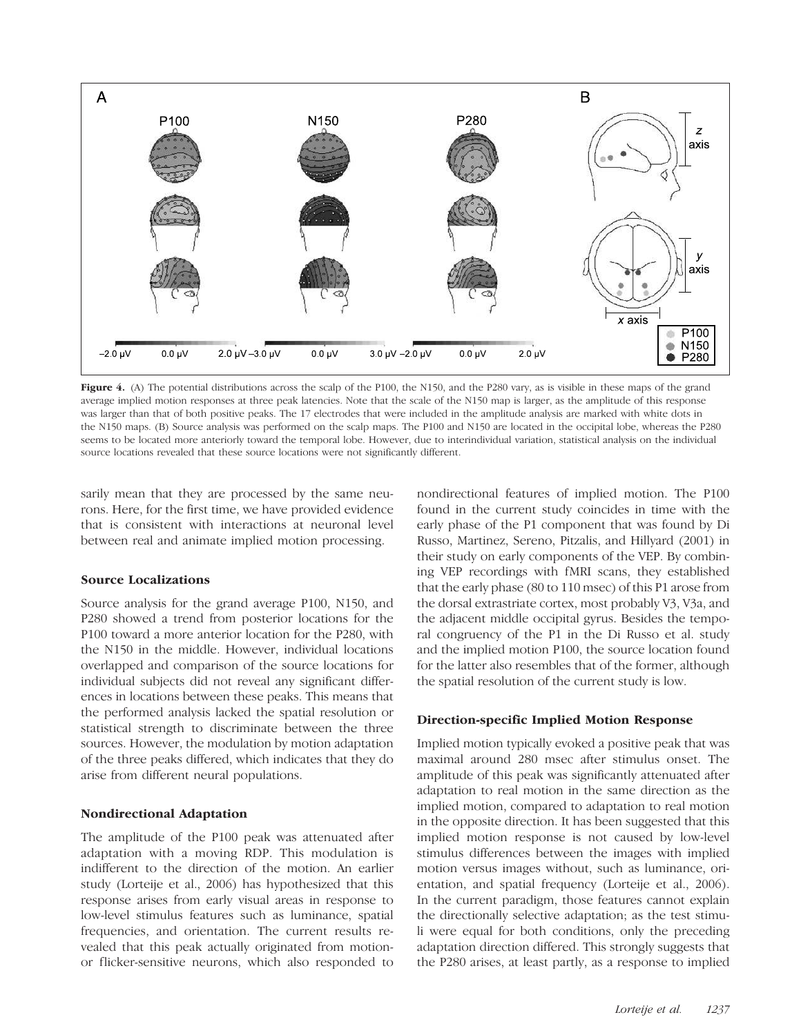

Figure 4. (A) The potential distributions across the scalp of the P100, the N150, and the P280 vary, as is visible in these maps of the grand average implied motion responses at three peak latencies. Note that the scale of the N150 map is larger, as the amplitude of this response was larger than that of both positive peaks. The 17 electrodes that were included in the amplitude analysis are marked with white dots in the N150 maps. (B) Source analysis was performed on the scalp maps. The P100 and N150 are located in the occipital lobe, whereas the P280 seems to be located more anteriorly toward the temporal lobe. However, due to interindividual variation, statistical analysis on the individual source locations revealed that these source locations were not significantly different.

sarily mean that they are processed by the same neurons. Here, for the first time, we have provided evidence that is consistent with interactions at neuronal level between real and animate implied motion processing.

# Source Localizations

Source analysis for the grand average P100, N150, and P280 showed a trend from posterior locations for the P100 toward a more anterior location for the P280, with the N150 in the middle. However, individual locations overlapped and comparison of the source locations for individual subjects did not reveal any significant differences in locations between these peaks. This means that the performed analysis lacked the spatial resolution or statistical strength to discriminate between the three sources. However, the modulation by motion adaptation of the three peaks differed, which indicates that they do arise from different neural populations.

## Nondirectional Adaptation

The amplitude of the P100 peak was attenuated after adaptation with a moving RDP. This modulation is indifferent to the direction of the motion. An earlier study (Lorteije et al., 2006) has hypothesized that this response arises from early visual areas in response to low-level stimulus features such as luminance, spatial frequencies, and orientation. The current results revealed that this peak actually originated from motionor flicker-sensitive neurons, which also responded to nondirectional features of implied motion. The P100 found in the current study coincides in time with the early phase of the P1 component that was found by Di Russo, Martinez, Sereno, Pitzalis, and Hillyard (2001) in their study on early components of the VEP. By combining VEP recordings with fMRI scans, they established that the early phase (80 to 110 msec) of this P1 arose from the dorsal extrastriate cortex, most probably V3, V3a, and the adjacent middle occipital gyrus. Besides the temporal congruency of the P1 in the Di Russo et al. study and the implied motion P100, the source location found for the latter also resembles that of the former, although the spatial resolution of the current study is low.

#### Direction-specific Implied Motion Response

Implied motion typically evoked a positive peak that was maximal around 280 msec after stimulus onset. The amplitude of this peak was significantly attenuated after adaptation to real motion in the same direction as the implied motion, compared to adaptation to real motion in the opposite direction. It has been suggested that this implied motion response is not caused by low-level stimulus differences between the images with implied motion versus images without, such as luminance, orientation, and spatial frequency (Lorteije et al., 2006). In the current paradigm, those features cannot explain the directionally selective adaptation; as the test stimuli were equal for both conditions, only the preceding adaptation direction differed. This strongly suggests that the P280 arises, at least partly, as a response to implied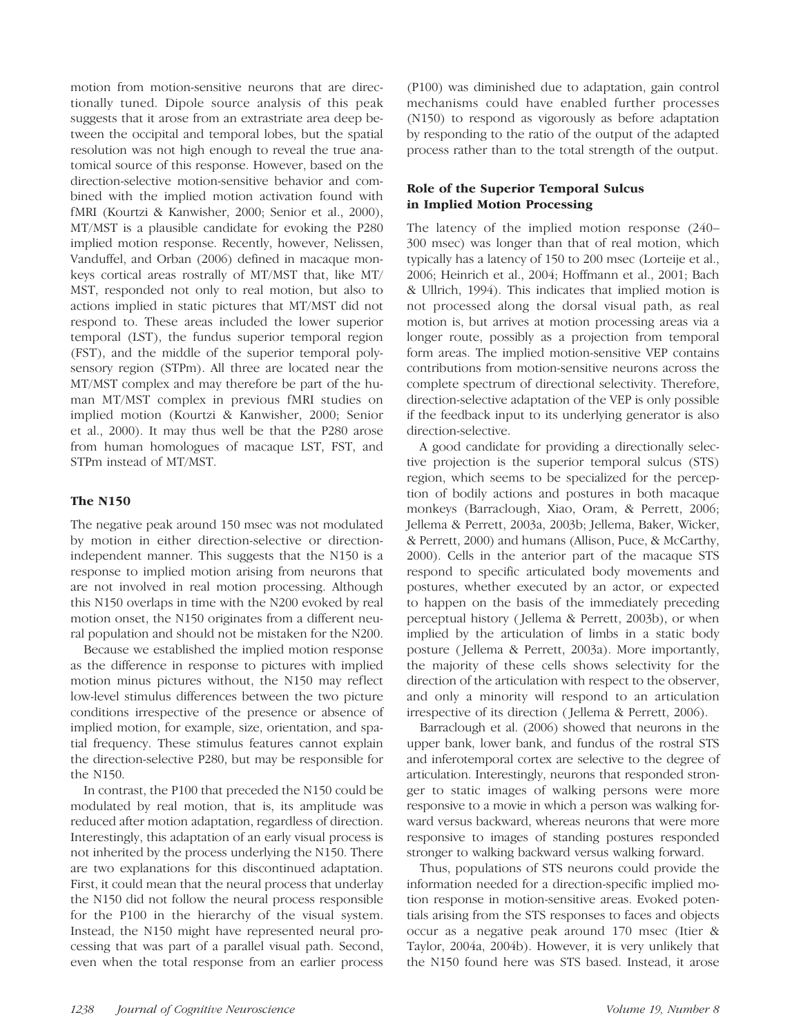motion from motion-sensitive neurons that are directionally tuned. Dipole source analysis of this peak suggests that it arose from an extrastriate area deep between the occipital and temporal lobes, but the spatial resolution was not high enough to reveal the true anatomical source of this response. However, based on the direction-selective motion-sensitive behavior and combined with the implied motion activation found with fMRI (Kourtzi & Kanwisher, 2000; Senior et al., 2000), MT/MST is a plausible candidate for evoking the P280 implied motion response. Recently, however, Nelissen, Vanduffel, and Orban (2006) defined in macaque monkeys cortical areas rostrally of MT/MST that, like MT/ MST, responded not only to real motion, but also to actions implied in static pictures that MT/MST did not respond to. These areas included the lower superior temporal (LST), the fundus superior temporal region (FST), and the middle of the superior temporal polysensory region (STPm). All three are located near the MT/MST complex and may therefore be part of the human MT/MST complex in previous fMRI studies on implied motion (Kourtzi & Kanwisher, 2000; Senior et al., 2000). It may thus well be that the P280 arose from human homologues of macaque LST, FST, and STPm instead of MT/MST.

# The N150

The negative peak around 150 msec was not modulated by motion in either direction-selective or directionindependent manner. This suggests that the N150 is a response to implied motion arising from neurons that are not involved in real motion processing. Although this N150 overlaps in time with the N200 evoked by real motion onset, the N150 originates from a different neural population and should not be mistaken for the N200.

Because we established the implied motion response as the difference in response to pictures with implied motion minus pictures without, the N150 may reflect low-level stimulus differences between the two picture conditions irrespective of the presence or absence of implied motion, for example, size, orientation, and spatial frequency. These stimulus features cannot explain the direction-selective P280, but may be responsible for the N150.

In contrast, the P100 that preceded the N150 could be modulated by real motion, that is, its amplitude was reduced after motion adaptation, regardless of direction. Interestingly, this adaptation of an early visual process is not inherited by the process underlying the N150. There are two explanations for this discontinued adaptation. First, it could mean that the neural process that underlay the N150 did not follow the neural process responsible for the P100 in the hierarchy of the visual system. Instead, the N150 might have represented neural processing that was part of a parallel visual path. Second, even when the total response from an earlier process

(P100) was diminished due to adaptation, gain control mechanisms could have enabled further processes (N150) to respond as vigorously as before adaptation by responding to the ratio of the output of the adapted process rather than to the total strength of the output.

# Role of the Superior Temporal Sulcus in Implied Motion Processing

The latency of the implied motion response (240– 300 msec) was longer than that of real motion, which typically has a latency of 150 to 200 msec (Lorteije et al., 2006; Heinrich et al., 2004; Hoffmann et al., 2001; Bach & Ullrich, 1994). This indicates that implied motion is not processed along the dorsal visual path, as real motion is, but arrives at motion processing areas via a longer route, possibly as a projection from temporal form areas. The implied motion-sensitive VEP contains contributions from motion-sensitive neurons across the complete spectrum of directional selectivity. Therefore, direction-selective adaptation of the VEP is only possible if the feedback input to its underlying generator is also direction-selective.

A good candidate for providing a directionally selective projection is the superior temporal sulcus (STS) region, which seems to be specialized for the perception of bodily actions and postures in both macaque monkeys (Barraclough, Xiao, Oram, & Perrett, 2006; Jellema & Perrett, 2003a, 2003b; Jellema, Baker, Wicker, & Perrett, 2000) and humans (Allison, Puce, & McCarthy, 2000). Cells in the anterior part of the macaque STS respond to specific articulated body movements and postures, whether executed by an actor, or expected to happen on the basis of the immediately preceding perceptual history ( Jellema & Perrett, 2003b), or when implied by the articulation of limbs in a static body posture ( Jellema & Perrett, 2003a). More importantly, the majority of these cells shows selectivity for the direction of the articulation with respect to the observer, and only a minority will respond to an articulation irrespective of its direction ( Jellema & Perrett, 2006).

Barraclough et al. (2006) showed that neurons in the upper bank, lower bank, and fundus of the rostral STS and inferotemporal cortex are selective to the degree of articulation. Interestingly, neurons that responded stronger to static images of walking persons were more responsive to a movie in which a person was walking forward versus backward, whereas neurons that were more responsive to images of standing postures responded stronger to walking backward versus walking forward.

Thus, populations of STS neurons could provide the information needed for a direction-specific implied motion response in motion-sensitive areas. Evoked potentials arising from the STS responses to faces and objects occur as a negative peak around 170 msec (Itier & Taylor, 2004a, 2004b). However, it is very unlikely that the N150 found here was STS based. Instead, it arose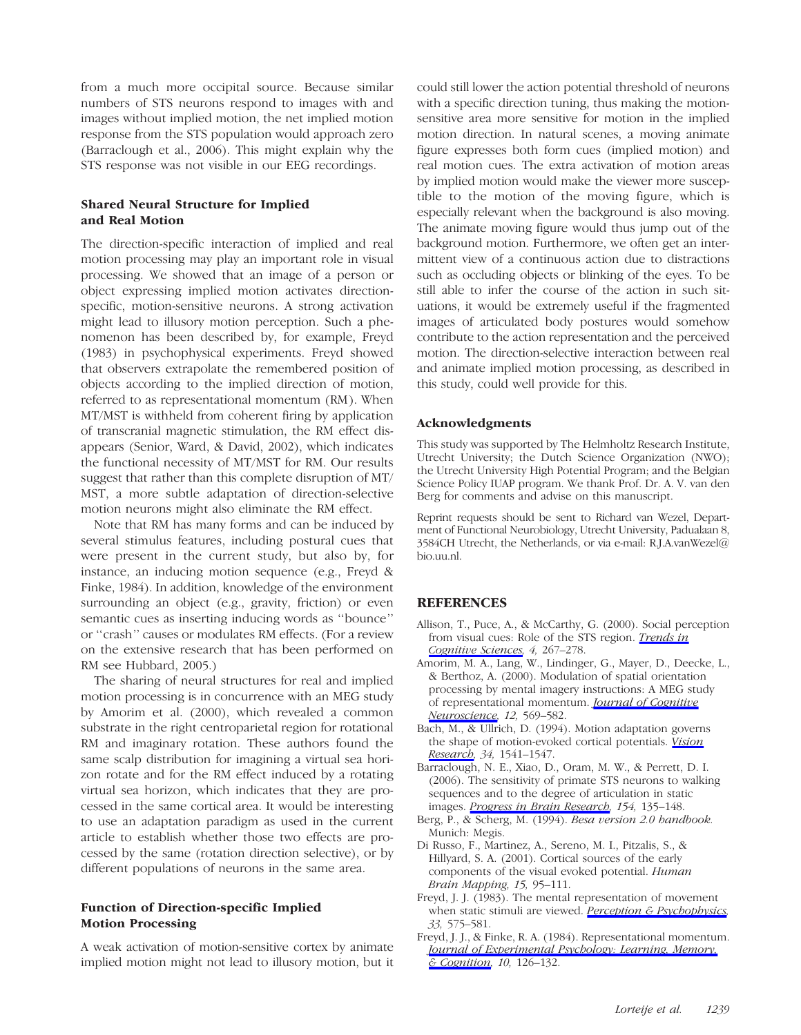from a much more occipital source. Because similar numbers of STS neurons respond to images with and images without implied motion, the net implied motion response from the STS population would approach zero (Barraclough et al., 2006). This might explain why the STS response was not visible in our EEG recordings.

# Shared Neural Structure for Implied and Real Motion

The direction-specific interaction of implied and real motion processing may play an important role in visual processing. We showed that an image of a person or object expressing implied motion activates directionspecific, motion-sensitive neurons. A strong activation might lead to illusory motion perception. Such a phenomenon has been described by, for example, Freyd (1983) in psychophysical experiments. Freyd showed that observers extrapolate the remembered position of objects according to the implied direction of motion, referred to as representational momentum (RM). When MT/MST is withheld from coherent firing by application of transcranial magnetic stimulation, the RM effect disappears (Senior, Ward, & David, 2002), which indicates the functional necessity of MT/MST for RM. Our results suggest that rather than this complete disruption of MT/ MST, a more subtle adaptation of direction-selective motion neurons might also eliminate the RM effect.

Note that RM has many forms and can be induced by several stimulus features, including postural cues that were present in the current study, but also by, for instance, an inducing motion sequence (e.g., Freyd & Finke, 1984). In addition, knowledge of the environment surrounding an object (e.g., gravity, friction) or even semantic cues as inserting inducing words as ''bounce'' or ''crash'' causes or modulates RM effects. (For a review on the extensive research that has been performed on RM see Hubbard, 2005.)

The sharing of neural structures for real and implied motion processing is in concurrence with an MEG study by Amorim et al. (2000), which revealed a common substrate in the right centroparietal region for rotational RM and imaginary rotation. These authors found the same scalp distribution for imagining a virtual sea horizon rotate and for the RM effect induced by a rotating virtual sea horizon, which indicates that they are processed in the same cortical area. It would be interesting to use an adaptation paradigm as used in the current article to establish whether those two effects are processed by the same (rotation direction selective), or by different populations of neurons in the same area.

# Function of Direction-specific Implied Motion Processing

A weak activation of motion-sensitive cortex by animate implied motion might not lead to illusory motion, but it could still lower the action potential threshold of neurons with a specific direction tuning, thus making the motionsensitive area more sensitive for motion in the implied motion direction. In natural scenes, a moving animate figure expresses both form cues (implied motion) and real motion cues. The extra activation of motion areas by implied motion would make the viewer more susceptible to the motion of the moving figure, which is especially relevant when the background is also moving. The animate moving figure would thus jump out of the background motion. Furthermore, we often get an intermittent view of a continuous action due to distractions such as occluding objects or blinking of the eyes. To be still able to infer the course of the action in such situations, it would be extremely useful if the fragmented images of articulated body postures would somehow contribute to the action representation and the perceived motion. The direction-selective interaction between real and animate implied motion processing, as described in this study, could well provide for this.

# Acknowledgments

This study was supported by The Helmholtz Research Institute, Utrecht University; the Dutch Science Organization (NWO); the Utrecht University High Potential Program; and the Belgian Science Policy IUAP program. We thank Prof. Dr. A. V. van den Berg for comments and advise on this manuscript.

Reprint requests should be sent to Richard van Wezel, Department of Functional Neurobiology, Utrecht University, Padualaan 8, 3584CH Utrecht, the Netherlands, or via e-mail: R.J.A.vanWezel@ bio.uu.nl.

# REFERENCES

- Allison, T., Puce, A., & McCarthy, G. (2000). Social perception from visual cues: Role of the STS region. *[Trends in](http://www.mitpressjournals.org/action/showLinks?crossref=10.1016%2FS1364-6613%2800%2901501-1)* [Cognitive Sciences,](http://www.mitpressjournals.org/action/showLinks?crossref=10.1016%2FS1364-6613%2800%2901501-1) 4, 267-278.
- Amorim, M. A., Lang, W., Lindinger, G., Mayer, D., Deecke, L., & Berthoz, A. (2000). Modulation of spatial orientation processing by mental imagery instructions: A MEG study of representational momentum. [Journal of Cognitive](http://www.mitpressjournals.org/action/showLinks?system=10.1162%2F089892900562345) [Neuroscience](http://www.mitpressjournals.org/action/showLinks?system=10.1162%2F089892900562345), 12, 569–582.
- Bach, M., & Ullrich, D. (1994). Motion adaptation governs the shape of motion-evoked cortical potentials. [Vision](http://www.mitpressjournals.org/action/showLinks?crossref=10.1016%2F0042-6989%2894%2990111-2) [Research](http://www.mitpressjournals.org/action/showLinks?crossref=10.1016%2F0042-6989%2894%2990111-2), 34, 1541-1547.
- Barraclough, N. E., Xiao, D., Oram, M. W., & Perrett, D. I. (2006). The sensitivity of primate STS neurons to walking sequences and to the degree of articulation in static images. [Progress in Brain Research](http://www.mitpressjournals.org/action/showLinks?crossref=10.1016%2FS0079-6123%2806%2954007-5), 154, 135-148.
- Berg, P., & Scherg, M. (1994). Besa version 2.0 handbook. Munich: Megis.
- Di Russo, F., Martinez, A., Sereno, M. I., Pitzalis, S., & Hillyard, S. A. (2001). Cortical sources of the early components of the visual evoked potential. Human Brain Mapping, 15, 95–111.
- Freyd, J. J. (1983). The mental representation of movement when static stimuli are viewed. Perception  $E$  Psychophysics, 33, 575–581.
- Freyd, J. J., & Finke, R. A. (1984). Representational momentum. [Journal of Experimental Psychology: Learning, Memory,](http://www.mitpressjournals.org/action/showLinks?crossref=10.1037%2F0278-7393.10.1.126) [& Cognition](http://www.mitpressjournals.org/action/showLinks?crossref=10.1037%2F0278-7393.10.1.126), 10, 126–132.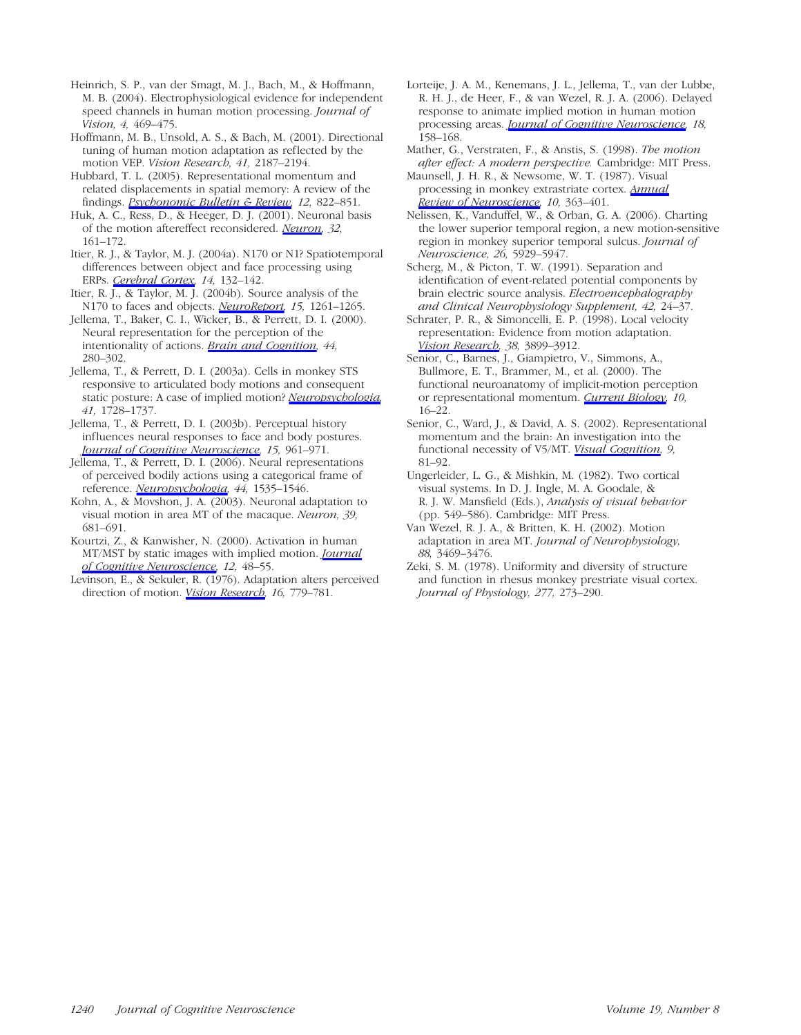Heinrich, S. P., van der Smagt, M. J., Bach, M., & Hoffmann, M. B. (2004). Electrophysiological evidence for independent speed channels in human motion processing. Journal of Vision, 4, 469–475.

Hoffmann, M. B., Unsold, A. S., & Bach, M. (2001). Directional tuning of human motion adaptation as reflected by the motion VEP. Vision Research, 41, 2187–2194.

Hubbard, T. L. (2005). Representational momentum and related displacements in spatial memory: A review of the findings. *Psychonomic Bulletin & Review*, 12, 822–851.

Huk, A. C., Ress, D., & Heeger, D. J. (2001). Neuronal basis of the motion aftereffect reconsidered. [Neuron](http://www.mitpressjournals.org/action/showLinks?crossref=10.1016%2FS0896-6273%2801%2900452-4), 32, 161–172.

Itier, R. J., & Taylor, M. J. (2004a). N170 or N1? Spatiotemporal differences between object and face processing using ERPs. [Cerebral Cortex,](http://www.mitpressjournals.org/action/showLinks?crossref=10.1093%2Fcercor%2Fbhg111) 14, 132-142.

Itier, R. J., & Taylor, M. J. (2004b). Source analysis of the N170 to faces and objects. *[NeuroReport](http://www.mitpressjournals.org/action/showLinks?crossref=10.1097%2F01.wnr.0000127827.73576.d8)*, 15, 1261-1265.

Jellema, T., Baker, C. I., Wicker, B., & Perrett, D. I. (2000). Neural representation for the perception of the intentionality of actions. **[Brain and Cognition](http://www.mitpressjournals.org/action/showLinks?crossref=10.1006%2Fbrcg.2000.1231)**, 44, 280–302.

Jellema, T., & Perrett, D. I. (2003a). Cells in monkey STS responsive to articulated body motions and consequent static posture: A case of implied motion? [Neuropsychologia,](http://www.mitpressjournals.org/action/showLinks?crossref=10.1016%2FS0028-3932%2803%2900175-1) 41, 1728–1737.

Jellema, T., & Perrett, D. I. (2003b). Perceptual history influences neural responses to face and body postures. [Journal of Cognitive Neuroscience,](http://www.mitpressjournals.org/action/showLinks?system=10.1162%2F089892903770007353) 15, 961-971.

Jellema, T., & Perrett, D. I. (2006). Neural representations of perceived bodily actions using a categorical frame of reference. [Neuropsychologia](http://www.mitpressjournals.org/action/showLinks?crossref=10.1016%2Fj.neuropsychologia.2006.01.020), 44, 1535-1546.

Kohn, A., & Movshon, J. A. (2003). Neuronal adaptation to visual motion in area MT of the macaque. Neuron, 39, 681–691.

Kourtzi, Z., & Kanwisher, N. (2000). Activation in human MT/MST by static images with implied motion. *[Journal](http://www.mitpressjournals.org/action/showLinks?system=10.1162%2F08989290051137594)* [of Cognitive Neuroscience,](http://www.mitpressjournals.org/action/showLinks?system=10.1162%2F08989290051137594) 12, 48–55.

Levinson, E., & Sekuler, R. (1976). Adaptation alters perceived direction of motion. [Vision Research,](http://www.mitpressjournals.org/action/showLinks?crossref=10.1016%2F0042-6989%2876%2990189-9) 16, 779-781.

Lorteije, J. A. M., Kenemans, J. L., Jellema, T., van der Lubbe, R. H. J., de Heer, F., & van Wezel, R. J. A. (2006). Delayed response to animate implied motion in human motion processing areas. *[Journal of Cognitive Neuroscience](http://www.mitpressjournals.org/action/showLinks?system=10.1162%2Fjocn.2006.18.2.158)*, 18, 158–168.

Mather, G., Verstraten, F., & Anstis, S. (1998). The motion after effect: A modern perspective. Cambridge: MIT Press.

Maunsell, J. H. R., & Newsome, W. T. (1987). Visual processing in monkey extrastriate cortex. [Annual](http://www.mitpressjournals.org/action/showLinks?crossref=10.1146%2Fannurev.ne.10.030187.002051) [Review of Neuroscience,](http://www.mitpressjournals.org/action/showLinks?crossref=10.1146%2Fannurev.ne.10.030187.002051) 10, 363-401.

Nelissen, K., Vanduffel, W., & Orban, G. A. (2006). Charting the lower superior temporal region, a new motion-sensitive region in monkey superior temporal sulcus. Journal of Neuroscience, 26, 5929–5947.

Scherg, M., & Picton, T. W. (1991). Separation and identification of event-related potential components by brain electric source analysis. Electroencephalography and Clinical Neurophysiology Supplement, 42, 24–37.

Schrater, P. R., & Simoncelli, E. P. (1998). Local velocity representation: Evidence from motion adaptation. [Vision Research,](http://www.mitpressjournals.org/action/showLinks?crossref=10.1016%2FS0042-6989%2898%2900088-1) 38, 3899-3912.

Senior, C., Barnes, J., Giampietro, V., Simmons, A., Bullmore, E. T., Brammer, M., et al. (2000). The functional neuroanatomy of implicit-motion perception or representational momentum. [Current Biology](http://www.mitpressjournals.org/action/showLinks?crossref=10.1016%2FS0960-9822%2899%2900259-6), 10, 16–22.

Senior, C., Ward, J., & David, A. S. (2002). Representational momentum and the brain: An investigation into the functional necessity of V5/MT. [Visual Cognition](http://www.mitpressjournals.org/action/showLinks?crossref=10.1080%2F13506280143000331), 9, 81–92.

Ungerleider, L. G., & Mishkin, M. (1982). Two cortical visual systems. In D. J. Ingle, M. A. Goodale, & R. J. W. Mansfield (Eds.), Analysis of visual behavior (pp. 549–586). Cambridge: MIT Press.

Van Wezel, R. J. A., & Britten, K. H. (2002). Motion adaptation in area MT. Journal of Neurophysiology, 88, 3469–3476.

Zeki, S. M. (1978). Uniformity and diversity of structure and function in rhesus monkey prestriate visual cortex. Journal of Physiology, 277, 273–290.